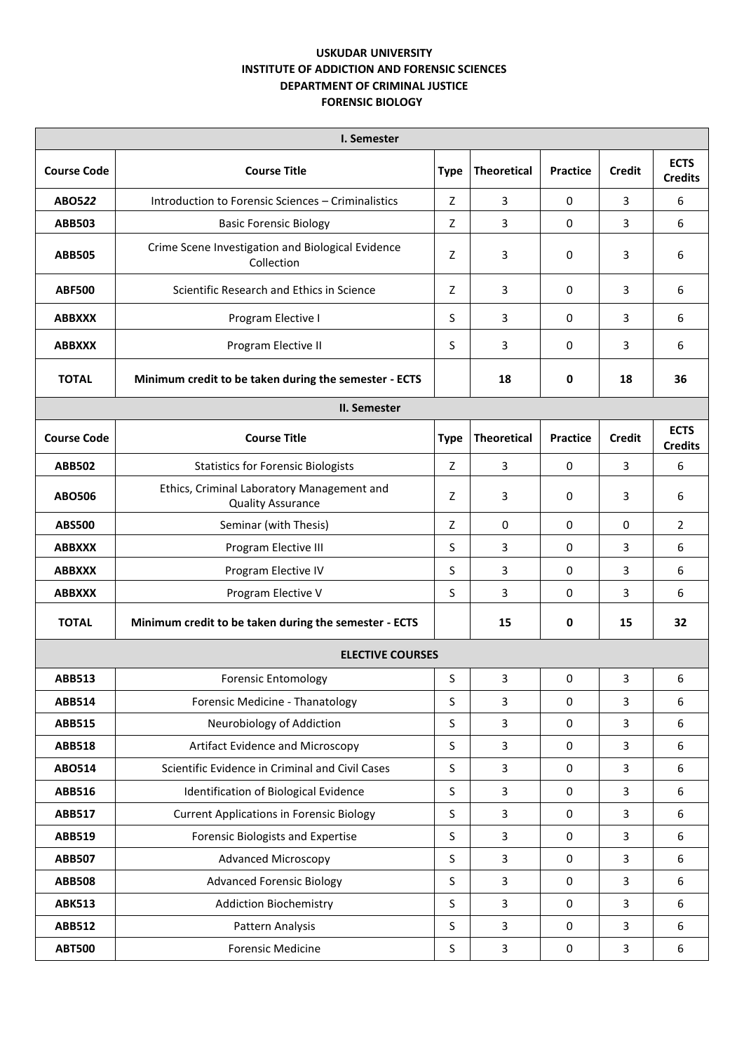## **USKUDAR UNIVERSITY INSTITUTE OF ADDICTION AND FORENSIC SCIENCES DEPARTMENT OF CRIMINAL JUSTICE FORENSIC BIOLOGY**

| I. Semester             |                                                                        |             |                         |                 |                |                               |  |  |  |  |
|-------------------------|------------------------------------------------------------------------|-------------|-------------------------|-----------------|----------------|-------------------------------|--|--|--|--|
| <b>Course Code</b>      | <b>Course Title</b>                                                    | <b>Type</b> | <b>Theoretical</b>      | Practice        | <b>Credit</b>  | <b>ECTS</b><br><b>Credits</b> |  |  |  |  |
| ABO522                  | Introduction to Forensic Sciences - Criminalistics                     | Z           | 3                       | 0               | 3              | 6                             |  |  |  |  |
| <b>ABB503</b>           | <b>Basic Forensic Biology</b>                                          | Z           | 3                       | 0               | 3              | 6                             |  |  |  |  |
| <b>ABB505</b>           | Crime Scene Investigation and Biological Evidence<br>Collection        | Z           | 3                       | 0               | 3              | 6                             |  |  |  |  |
| <b>ABF500</b>           | Scientific Research and Ethics in Science                              | Z           | 3                       | 0               | 3              | 6                             |  |  |  |  |
| <b>ABBXXX</b>           | Program Elective I                                                     | S           | 3                       | 0               | 3              | 6                             |  |  |  |  |
| <b>ABBXXX</b>           | Program Elective II                                                    | S           | 3                       | 0               | 3              | 6                             |  |  |  |  |
| <b>TOTAL</b>            | Minimum credit to be taken during the semester - ECTS                  |             | 18                      | 0               | 18             | 36                            |  |  |  |  |
|                         | II. Semester                                                           |             |                         |                 |                |                               |  |  |  |  |
| <b>Course Code</b>      | <b>Course Title</b>                                                    | <b>Type</b> | <b>Theoretical</b>      | <b>Practice</b> | <b>Credit</b>  | <b>ECTS</b><br><b>Credits</b> |  |  |  |  |
| <b>ABB502</b>           | <b>Statistics for Forensic Biologists</b>                              | Z           | 3                       | 0               | 3              | 6                             |  |  |  |  |
| <b>ABO506</b>           | Ethics, Criminal Laboratory Management and<br><b>Quality Assurance</b> | Z           | 3                       | 0               | 3              | 6                             |  |  |  |  |
| <b>ABS500</b>           | Seminar (with Thesis)                                                  | Z           | 0                       | 0               | 0              | $\overline{2}$                |  |  |  |  |
| <b>ABBXXX</b>           | Program Elective III                                                   | S           | 3                       | 0               | 3              | 6                             |  |  |  |  |
| <b>ABBXXX</b>           | Program Elective IV                                                    | S           | 3                       | 0               | 3              | 6                             |  |  |  |  |
| <b>ABBXXX</b>           | Program Elective V                                                     | S           | 3                       | 0               | 3              | 6                             |  |  |  |  |
| <b>TOTAL</b>            | Minimum credit to be taken during the semester - ECTS                  |             | 15                      | 0               | 15             | 32                            |  |  |  |  |
| <b>ELECTIVE COURSES</b> |                                                                        |             |                         |                 |                |                               |  |  |  |  |
| <b>ABB513</b>           | <b>Forensic Entomology</b>                                             | S           | 3                       | 0               | 3              | 6                             |  |  |  |  |
| <b>ABB514</b>           | Forensic Medicine - Thanatology                                        | $\sf S$     | 3                       | $\pmb{0}$       | $\overline{3}$ | 6                             |  |  |  |  |
| <b>ABB515</b>           | Neurobiology of Addiction                                              | $\sf S$     | 3                       | $\pmb{0}$       | $\overline{3}$ | 6                             |  |  |  |  |
| <b>ABB518</b>           | Artifact Evidence and Microscopy                                       | $\sf S$     | 3                       | 0               | $\overline{3}$ | 6                             |  |  |  |  |
| <b>ABO514</b>           | Scientific Evidence in Criminal and Civil Cases                        | $\sf S$     | 3                       | $\pmb{0}$       | $\overline{3}$ | 6                             |  |  |  |  |
| <b>ABB516</b>           | Identification of Biological Evidence                                  | $\sf S$     | 3                       | 0               | $\overline{3}$ | 6                             |  |  |  |  |
| <b>ABB517</b>           | <b>Current Applications in Forensic Biology</b>                        | $\sf S$     | 3                       | $\pmb{0}$       | $\overline{3}$ | 6                             |  |  |  |  |
| ABB519                  | Forensic Biologists and Expertise                                      | $\sf S$     | 3                       | $\pmb{0}$       | $\overline{3}$ | 6                             |  |  |  |  |
| <b>ABB507</b>           | <b>Advanced Microscopy</b>                                             | $\sf S$     | 3                       | $\pmb{0}$       | $\overline{3}$ | 6                             |  |  |  |  |
| <b>ABB508</b>           | <b>Advanced Forensic Biology</b>                                       | $\sf S$     | 3                       | 0               | $\overline{3}$ | 6                             |  |  |  |  |
| <b>ABK513</b>           | <b>Addiction Biochemistry</b>                                          | $\sf S$     | 3                       | $\pmb{0}$       | $\overline{3}$ | 6                             |  |  |  |  |
| <b>ABB512</b>           | Pattern Analysis                                                       | $\sf S$     | 3                       | $\pmb{0}$       | $\overline{3}$ | 6                             |  |  |  |  |
| <b>ABT500</b>           | <b>Forensic Medicine</b>                                               | $\sf S$     | $\overline{\mathbf{3}}$ | $\pmb{0}$       | 3              | 6                             |  |  |  |  |